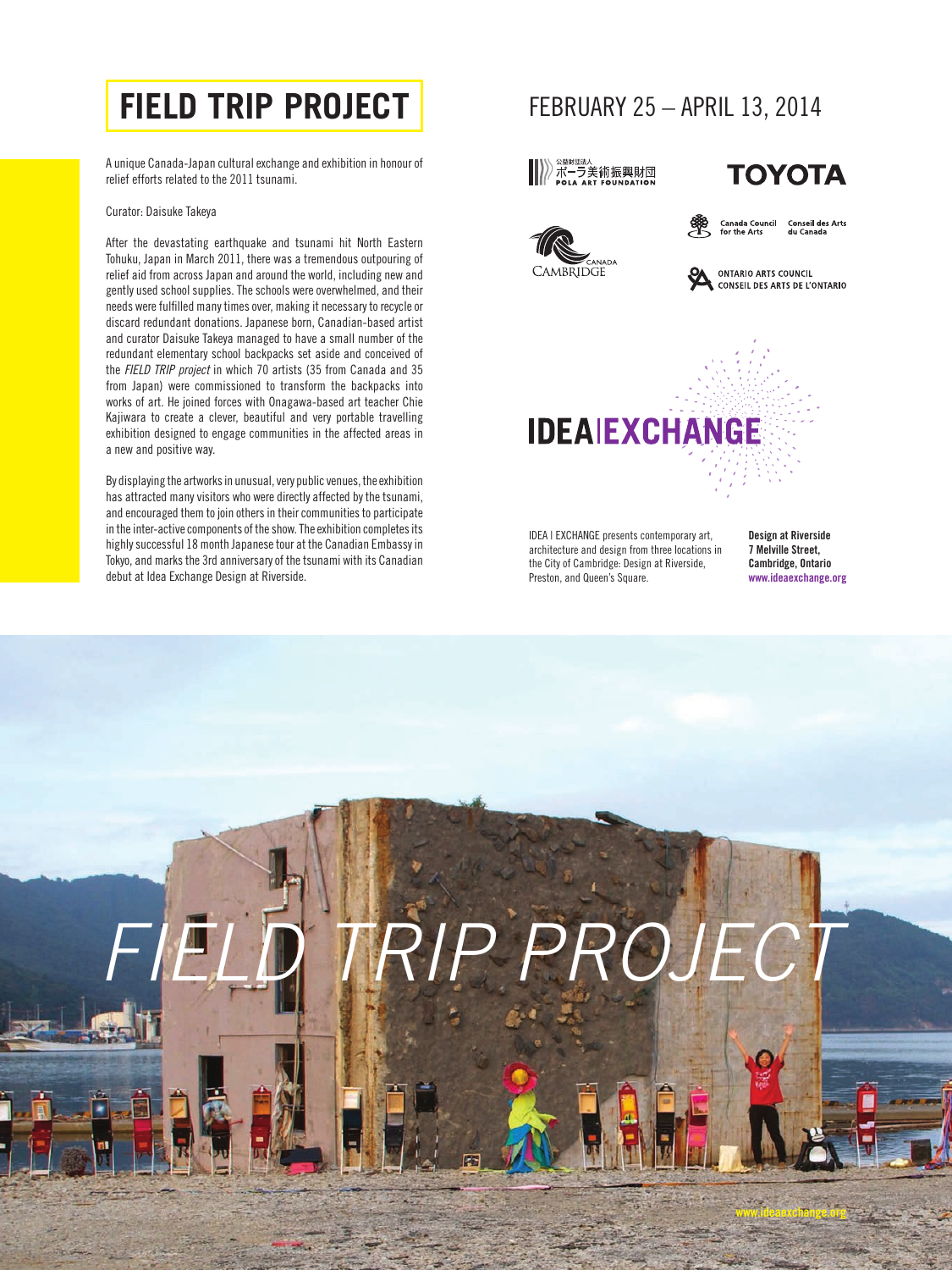### **FIELD TRIP PROJECT** FEBRUARY 25 - APRIL 13, 2014

A unique Canada-Japan cultural exchange and exhibition in honour of relief efforts related to the 2011 tsunami.

### Curator: Daisuke Takeya

After the devastating earthquake and tsunami hit North Eastern Tohuku, Japan in March 2011, there was a tremendous outpouring of relief aid from across Japan and around the world, including new and gently used school supplies. The schools were overwhelmed, and their needs were fulfilled many times over, making it necessary to recycle or discard redundant donations. Japanese born, Canadian-based artist and curator Daisuke Takeya managed to have a small number of the redundant elementary school backpacks set aside and conceived of the *FIELD TRIP project* in which 70 artists (35 from Canada and 35 from Japan) were commissioned to transform the backpacks into works of art. He joined forces with Onagawa-based art teacher Chie Kajiwara to create a clever, beautiful and very portable travelling exhibition designed to engage communities in the affected areas in a new and positive way.

By displaying the artworks in unusual, very public venues, the exhibition has attracted many visitors who were directly affected by the tsunami, and encouraged them to join others in their communities to participate in the inter-active components of the show. The exhibition completes its highly successful 18 month Japanese tour at the Canadian Embassy in Tokyo, and marks the 3rd anniversary of the tsunami with its Canadian debut at Idea Exchange Design at Riverside.



IDEA | EXCHANGE presents contemporary art, architecture and design from three locations in the City of Cambridge: Design at Riverside, Preston, and Queen's Square.

Design at Riverside 7 Melville Street, Cambridge, Ontario www.ideaexchange.org

www.ideaexchange.org

# *FIELD TRIP PROJECT*